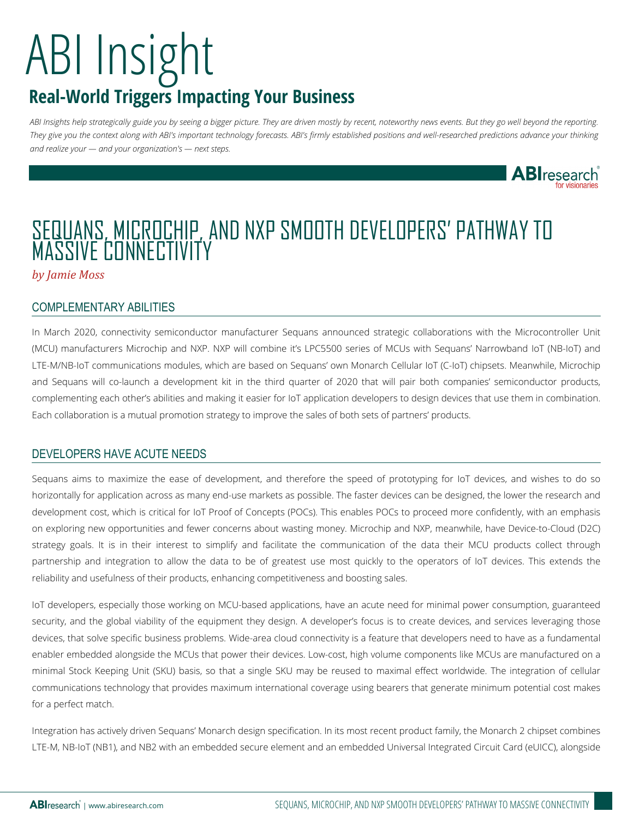## ABI Insight **Real-World Triggers Impacting Your Business**

*ABI Insights help strategically guide you by seeing a bigger picture. They are driven mostly by recent, noteworthy news events. But they go well beyond the reporting. They give you the context along with ABI's important technology forecasts. ABI's firmly established positions and well-researched predictions advance your thinking and realize your — and your organization's — next steps.*



### SEQUANS, MICROCHIP, AND NXP SMOOTH DEVELOPERS' PATHWAY TO MASSIVE CONNECTIVITY

*by Jamie Moss*

#### COMPLEMENTARY ABILITIES

In March 2020, connectivity semiconductor manufacturer Sequans announced strategic collaborations with the Microcontroller Unit (MCU) manufacturers Microchip and NXP. NXP will combine it's LPC5500 series of MCUs with Sequans' Narrowband IoT (NB-IoT) and LTE-M/NB-IoT communications modules, which are based on Sequans' own Monarch Cellular IoT (C-IoT) chipsets. Meanwhile, Microchip and Sequans will co-launch a development kit in the third quarter of 2020 that will pair both companies' semiconductor products, complementing each other's abilities and making it easier for IoT application developers to design devices that use them in combination. Each collaboration is a mutual promotion strategy to improve the sales of both sets of partners' products.

#### DEVELOPERS HAVE ACUTE NEEDS

Sequans aims to maximize the ease of development, and therefore the speed of prototyping for IoT devices, and wishes to do so horizontally for application across as many end-use markets as possible. The faster devices can be designed, the lower the research and development cost, which is critical for IoT Proof of Concepts (POCs). This enables POCs to proceed more confidently, with an emphasis on exploring new opportunities and fewer concerns about wasting money. Microchip and NXP, meanwhile, have Device-to-Cloud (D2C) strategy goals. It is in their interest to simplify and facilitate the communication of the data their MCU products collect through partnership and integration to allow the data to be of greatest use most quickly to the operators of IoT devices. This extends the reliability and usefulness of their products, enhancing competitiveness and boosting sales.

IoT developers, especially those working on MCU-based applications, have an acute need for minimal power consumption, guaranteed security, and the global viability of the equipment they design. A developer's focus is to create devices, and services leveraging those devices, that solve specific business problems. Wide-area cloud connectivity is a feature that developers need to have as a fundamental enabler embedded alongside the MCUs that power their devices. Low-cost, high volume components like MCUs are manufactured on a minimal Stock Keeping Unit (SKU) basis, so that a single SKU may be reused to maximal effect worldwide. The integration of cellular communications technology that provides maximum international coverage using bearers that generate minimum potential cost makes for a perfect match.

Integration has actively driven Sequans' Monarch design specification. In its most recent product family, the Monarch 2 chipset combines LTE-M, NB-IoT (NB1), and NB2 with an embedded secure element and an embedded Universal Integrated Circuit Card (eUICC), alongside